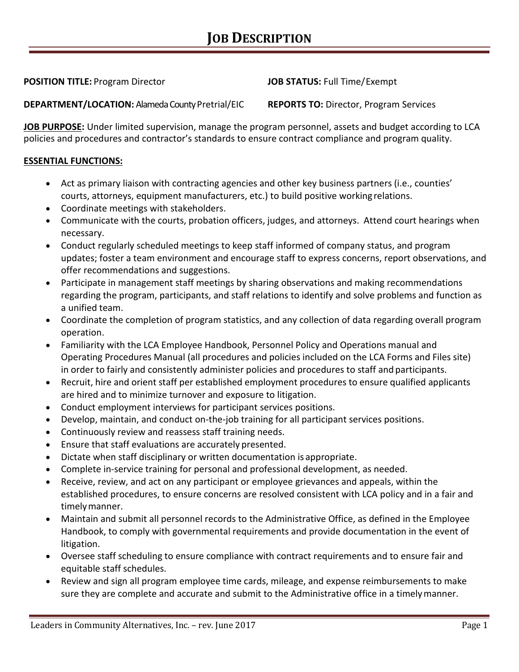**POSITION TITLE:** Program Director **JOB STATUS:** Full Time/Exempt

 $\overline{a}$ **DEPARTMENT/LOCATION:** Alameda County Pretrial/EIC **REPORTS TO:** Director, Program Services

**JOB PURPOSE:** Under limited supervision, manage the program personnel, assets and budget according to LCA policies and procedures and contractor's standards to ensure contract compliance and program quality.

## **ESSENTIAL FUNCTIONS:**

- Act as primary liaison with contracting agencies and other key business partners (i.e., counties' courts, attorneys, equipment manufacturers, etc.) to build positive working relations.
- Coordinate meetings with stakeholders.
- Communicate with the courts, probation officers, judges, and attorneys. Attend court hearings when necessary.
- Conduct regularly scheduled meetings to keep staff informed of company status, and program updates; foster a team environment and encourage staff to express concerns, report observations, and offer recommendations and suggestions.
- Participate in management staff meetings by sharing observations and making recommendations regarding the program, participants, and staff relations to identify and solve problems and function as a unified team.
- Coordinate the completion of program statistics, and any collection of data regarding overall program operation.
- Familiarity with the LCA Employee Handbook, Personnel Policy and Operations manual and Operating Procedures Manual (all procedures and policies included on the LCA Forms and Files site) in order to fairly and consistently administer policies and procedures to staff and participants.
- Recruit, hire and orient staff per established employment procedures to ensure qualified applicants are hired and to minimize turnover and exposure to litigation.
- Conduct employment interviews for participant services positions.
- Develop, maintain, and conduct on-the-job training for all participant services positions.
- Continuously review and reassess staff training needs.
- Ensure that staff evaluations are accurately presented.
- Dictate when staff disciplinary or written documentation is appropriate.
- Complete in-service training for personal and professional development, as needed.
- Receive, review, and act on any participant or employee grievances and appeals, within the established procedures, to ensure concerns are resolved consistent with LCA policy and in a fair and timelymanner.
- Maintain and submit all personnel records to the Administrative Office, as defined in the Employee Handbook, to comply with governmental requirements and provide documentation in the event of litigation.
- Oversee staff scheduling to ensure compliance with contract requirements and to ensure fair and equitable staff schedules.
- Review and sign all program employee time cards, mileage, and expense reimbursements to make sure they are complete and accurate and submit to the Administrative office in a timelymanner.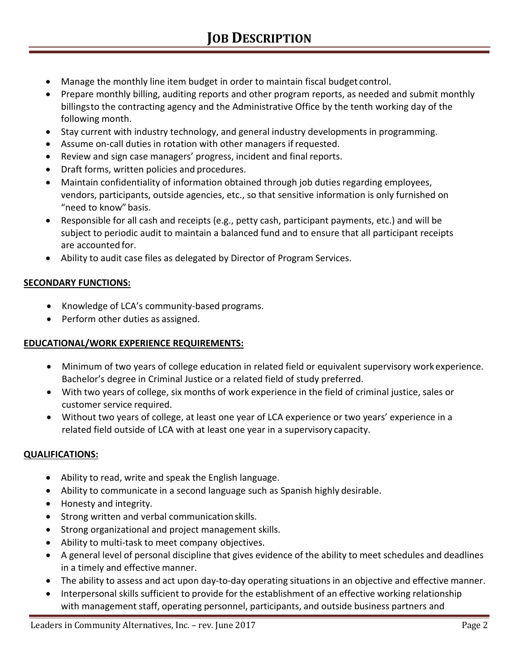- Manage the monthly line item budget in order to maintain fiscal budget control.
- • Prepare monthly billing, auditing reports and other program reports, as needed and submit monthly billingsto the contracting agency and the Administrative Office by the tenth working day of the following month.
- Stay current with industry technology, and general industry developments in programming.
- Assume on-call duties in rotation with other managers ifrequested.
- Review and sign case managers' progress, incident and final reports.
- Draft forms, written policies and procedures.
- Maintain confidentiality of information obtained through job duties regarding employees, vendors, participants, outside agencies, etc., so that sensitive information is only furnished on "need to know" basis.
- Responsible for all cash and receipts (e.g., petty cash, participant payments, etc.) and will be subject to periodic audit to maintain a balanced fund and to ensure that all participant receipts are accounted for.
- Ability to audit case files as delegated by Director of Program Services.

# **SECONDARY FUNCTIONS:**

- Knowledge of LCA's community-based programs.
- Perform other duties as assigned.

### **EDUCATIONAL/WORK EXPERIENCE REQUIREMENTS:**

- Minimum of two years of college education in related field or equivalent supervisory work experience. Bachelor's degree in Criminal Justice or a related field of study preferred.
- With two years of college, six months of work experience in the field of criminal justice, sales or customer service required.
- Without two years of college, at least one year of LCA experience or two years' experience in a related field outside of LCA with at least one year in a supervisory capacity.

### **QUALIFICATIONS:**

- Ability to read, write and speak the English language.
- Ability to communicate in a second language such as Spanish highly desirable.
- Honesty and integrity.
- Strong written and verbal communicationskills.
- Strong organizational and project management skills.
- Ability to multi-task to meet company objectives.
- A general level of personal discipline that gives evidence of the ability to meet schedules and deadlines in a timely and effective manner.
- The ability to assess and act upon day-to-day operating situations in an objective and effective manner.
- Interpersonal skills sufficient to provide for the establishment of an effective working relationship with management staff, operating personnel, participants, and outside business partners and